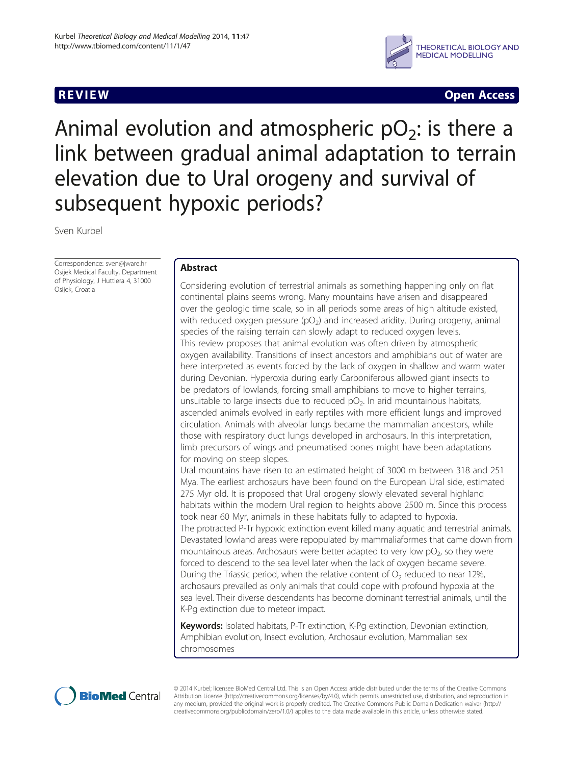

**REVIEW REVIEW CONSTRUCTION** 

# Animal evolution and atmospheric  $pO_2$ : is there a link between gradual animal adaptation to terrain elevation due to Ural orogeny and survival of subsequent hypoxic periods?

Sven Kurbel

Correspondence: [sven@jware.hr](mailto:sven@jware.hr) Osijek Medical Faculty, Department of Physiology, J Huttlera 4, 31000 Osijek, Croatia

# Abstract

Considering evolution of terrestrial animals as something happening only on flat continental plains seems wrong. Many mountains have arisen and disappeared over the geologic time scale, so in all periods some areas of high altitude existed, with reduced oxygen pressure ( $pO<sub>2</sub>$ ) and increased aridity. During orogeny, animal species of the raising terrain can slowly adapt to reduced oxygen levels. This review proposes that animal evolution was often driven by atmospheric oxygen availability. Transitions of insect ancestors and amphibians out of water are here interpreted as events forced by the lack of oxygen in shallow and warm water during Devonian. Hyperoxia during early Carboniferous allowed giant insects to be predators of lowlands, forcing small amphibians to move to higher terrains, unsuitable to large insects due to reduced  $pO<sub>2</sub>$ . In arid mountainous habitats, ascended animals evolved in early reptiles with more efficient lungs and improved circulation. Animals with alveolar lungs became the mammalian ancestors, while those with respiratory duct lungs developed in archosaurs. In this interpretation, limb precursors of wings and pneumatised bones might have been adaptations for moving on steep slopes.

Ural mountains have risen to an estimated height of 3000 m between 318 and 251 Mya. The earliest archosaurs have been found on the European Ural side, estimated 275 Myr old. It is proposed that Ural orogeny slowly elevated several highland habitats within the modern Ural region to heights above 2500 m. Since this process took near 60 Myr, animals in these habitats fully to adapted to hypoxia. The protracted P-Tr hypoxic extinction event killed many aquatic and terrestrial animals. Devastated lowland areas were repopulated by mammaliaformes that came down from mountainous areas. Archosaurs were better adapted to very low  $pO<sub>2</sub>$ , so they were forced to descend to the sea level later when the lack of oxygen became severe. During the Triassic period, when the relative content of  $O<sub>2</sub>$  reduced to near 12%, archosaurs prevailed as only animals that could cope with profound hypoxia at the sea level. Their diverse descendants has become dominant terrestrial animals, until the

K-Pg extinction due to meteor impact.

Keywords: Isolated habitats, P-Tr extinction, K-Pg extinction, Devonian extinction, Amphibian evolution, Insect evolution, Archosaur evolution, Mammalian sex chromosomes



© 2014 Kurbel; licensee BioMed Central Ltd. This is an Open Access article distributed under the terms of the Creative Commons Attribution License (<http://creativecommons.org/licenses/by/4.0>), which permits unrestricted use, distribution, and reproduction in any medium, provided the original work is properly credited. The Creative Commons Public Domain Dedication waiver [\(http://](http://creativecommons.org/publicdomain/zero/1.0/) [creativecommons.org/publicdomain/zero/1.0/\)](http://creativecommons.org/publicdomain/zero/1.0/) applies to the data made available in this article, unless otherwise stated.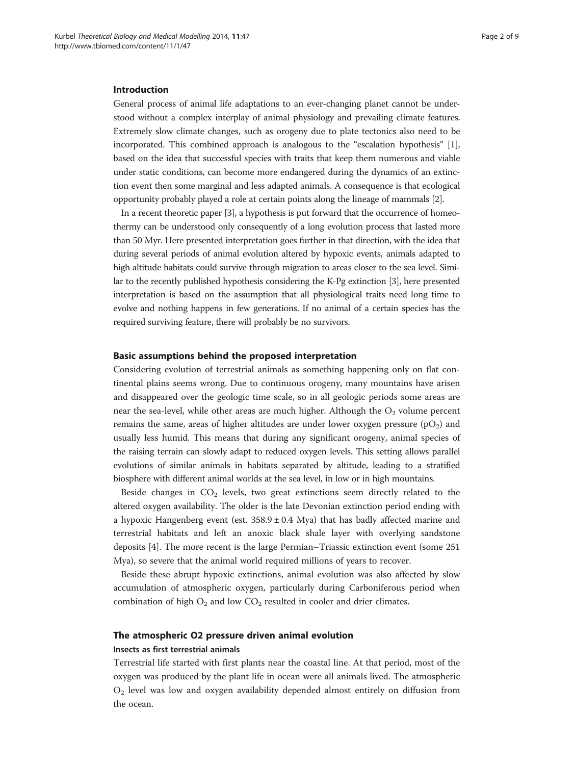#### Introduction

General process of animal life adaptations to an ever-changing planet cannot be understood without a complex interplay of animal physiology and prevailing climate features. Extremely slow climate changes, such as orogeny due to plate tectonics also need to be incorporated. This combined approach is analogous to the "escalation hypothesis" [[1](#page-7-0)], based on the idea that successful species with traits that keep them numerous and viable under static conditions, can become more endangered during the dynamics of an extinction event then some marginal and less adapted animals. A consequence is that ecological opportunity probably played a role at certain points along the lineage of mammals [\[2](#page-7-0)].

In a recent theoretic paper [[3\]](#page-7-0), a hypothesis is put forward that the occurrence of homeothermy can be understood only consequently of a long evolution process that lasted more than 50 Myr. Here presented interpretation goes further in that direction, with the idea that during several periods of animal evolution altered by hypoxic events, animals adapted to high altitude habitats could survive through migration to areas closer to the sea level. Similar to the recently published hypothesis considering the K-Pg extinction [[3](#page-7-0)], here presented interpretation is based on the assumption that all physiological traits need long time to evolve and nothing happens in few generations. If no animal of a certain species has the required surviving feature, there will probably be no survivors.

#### Basic assumptions behind the proposed interpretation

Considering evolution of terrestrial animals as something happening only on flat continental plains seems wrong. Due to continuous orogeny, many mountains have arisen and disappeared over the geologic time scale, so in all geologic periods some areas are near the sea-level, while other areas are much higher. Although the  $O<sub>2</sub>$  volume percent remains the same, areas of higher altitudes are under lower oxygen pressure  $(pO<sub>2</sub>)$  and usually less humid. This means that during any significant orogeny, animal species of the raising terrain can slowly adapt to reduced oxygen levels. This setting allows parallel evolutions of similar animals in habitats separated by altitude, leading to a stratified biosphere with different animal worlds at the sea level, in low or in high mountains.

Beside changes in  $CO<sub>2</sub>$  levels, two great extinctions seem directly related to the altered oxygen availability. The older is the late Devonian extinction period ending with a hypoxic Hangenberg event (est.  $358.9 \pm 0.4$  Mya) that has badly affected marine and terrestrial habitats and left an anoxic black shale layer with overlying sandstone deposits [\[4](#page-7-0)]. The more recent is the large Permian–Triassic extinction event (some 251 Mya), so severe that the animal world required millions of years to recover.

Beside these abrupt hypoxic extinctions, animal evolution was also affected by slow accumulation of atmospheric oxygen, particularly during Carboniferous period when combination of high  $O_2$  and low  $CO_2$  resulted in cooler and drier climates.

#### The atmospheric O2 pressure driven animal evolution

# Insects as first terrestrial animals

Terrestrial life started with first plants near the coastal line. At that period, most of the oxygen was produced by the plant life in ocean were all animals lived. The atmospheric  $O<sub>2</sub>$  level was low and oxygen availability depended almost entirely on diffusion from the ocean.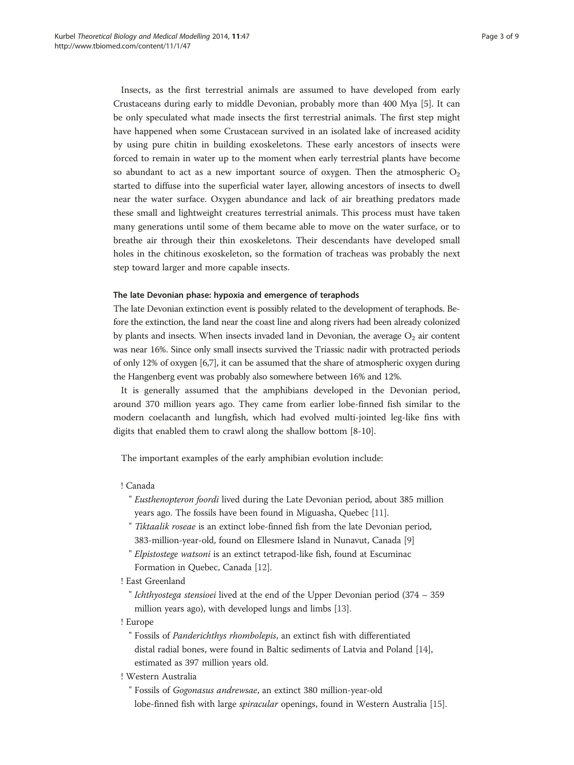Insects, as the first terrestrial animals are assumed to have developed from early Crustaceans during early to middle Devonian, probably more than 400 Mya [[5\]](#page-7-0). It can be only speculated what made insects the first terrestrial animals. The first step might have happened when some Crustacean survived in an isolated lake of increased acidity by using pure chitin in building exoskeletons. These early ancestors of insects were forced to remain in water up to the moment when early terrestrial plants have become so abundant to act as a new important source of oxygen. Then the atmospheric  $O_2$ started to diffuse into the superficial water layer, allowing ancestors of insects to dwell near the water surface. Oxygen abundance and lack of air breathing predators made these small and lightweight creatures terrestrial animals. This process must have taken many generations until some of them became able to move on the water surface, or to breathe air through their thin exoskeletons. Their descendants have developed small holes in the chitinous exoskeleton, so the formation of tracheas was probably the next step toward larger and more capable insects.

# The late Devonian phase: hypoxia and emergence of teraphods

The late Devonian extinction event is possibly related to the development of teraphods. Before the extinction, the land near the coast line and along rivers had been already colonized by plants and insects. When insects invaded land in Devonian, the average  $O_2$  air content was near 16%. Since only small insects survived the Triassic nadir with protracted periods of only 12% of oxygen [\[6,7\]](#page-7-0), it can be assumed that the share of atmospheric oxygen during the Hangenberg event was probably also somewhere between 16% and 12%.

It is generally assumed that the amphibians developed in the Devonian period, around 370 million years ago. They came from earlier lobe-finned fish similar to the modern coelacanth and lungfish, which had evolved multi-jointed leg-like fins with digits that enabled them to crawl along the shallow bottom [[8-10\]](#page-7-0).

The important examples of the early amphibian evolution include:

#### ! Canada

- " Eusthenopteron foordi lived during the Late Devonian period, about 385 million years ago. The fossils have been found in Miguasha, Quebec [[11](#page-7-0)].
- " Tiktaalik roseae is an extinct lobe-finned fish from the late Devonian period, 383-million-year-old, found on Ellesmere Island in Nunavut, Canada [\[9](#page-7-0)]
- " Elpistostege watsoni is an extinct tetrapod-like fish, found at Escuminac Formation in Quebec, Canada [\[12](#page-8-0)].
- ! East Greenland

" Ichthyostega stensioei lived at the end of the Upper Devonian period (374 - 359 million years ago), with developed lungs and limbs [[13](#page-8-0)].

! Europe

" Fossils of Panderichthys rhombolepis, an extinct fish with differentiated distal radial bones, were found in Baltic sediments of Latvia and Poland [[14](#page-8-0)], estimated as 397 million years old.

! Western Australia

" Fossils of Gogonasus andrewsae, an extinct 380 million-year-old lobe-finned fish with large *spiracular* openings, found in Western Australia [\[15\]](#page-8-0).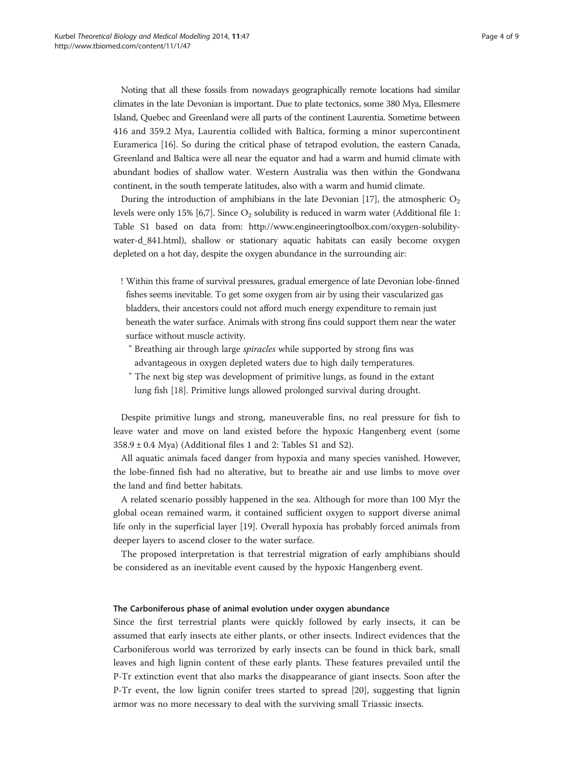Noting that all these fossils from nowadays geographically remote locations had similar climates in the late Devonian is important. Due to plate tectonics, some 380 Mya, Ellesmere Island, Quebec and Greenland were all parts of the continent Laurentia. Sometime between 416 and 359.2 Mya, Laurentia collided with Baltica, forming a minor supercontinent Euramerica [[16\]](#page-8-0). So during the critical phase of tetrapod evolution, the eastern Canada, Greenland and Baltica were all near the equator and had a warm and humid climate with abundant bodies of shallow water. Western Australia was then within the Gondwana continent, in the south temperate latitudes, also with a warm and humid climate.

During the introduction of amphibians in the late Devonian [[17\]](#page-8-0), the atmospheric  $O_2$ levels were only 15% [\[6,7\]](#page-7-0). Since  $O_2$  solubility is reduced in warm water (Additional file [1](#page-7-0): Table S1 based on data from: [http://www.engineeringtoolbox.com/oxygen-solubility](http://www.engineeringtoolbox.com/oxygen-solubility-water-d_841.html)[water-d\\_841.html](http://www.engineeringtoolbox.com/oxygen-solubility-water-d_841.html)), shallow or stationary aquatic habitats can easily become oxygen depleted on a hot day, despite the oxygen abundance in the surrounding air:

- ! Within this frame of survival pressures, gradual emergence of late Devonian lobe-finned fishes seems inevitable. To get some oxygen from air by using their vascularized gas bladders, their ancestors could not afford much energy expenditure to remain just beneath the water surface. Animals with strong fins could support them near the water surface without muscle activity.
	- " Breathing air through large spiracles while supported by strong fins was advantageous in oxygen depleted waters due to high daily temperatures.
	- " The next big step was development of primitive lungs, as found in the extant lung fish [[18](#page-8-0)]. Primitive lungs allowed prolonged survival during drought.

Despite primitive lungs and strong, maneuverable fins, no real pressure for fish to leave water and move on land existed before the hypoxic Hangenberg event (some  $358.9 \pm 0.4$  Mya) (Additional files [1](#page-7-0) and [2](#page-7-0): Tables S1 and S2).

All aquatic animals faced danger from hypoxia and many species vanished. However, the lobe-finned fish had no alterative, but to breathe air and use limbs to move over the land and find better habitats.

A related scenario possibly happened in the sea. Although for more than 100 Myr the global ocean remained warm, it contained sufficient oxygen to support diverse animal life only in the superficial layer [\[19\]](#page-8-0). Overall hypoxia has probably forced animals from deeper layers to ascend closer to the water surface.

The proposed interpretation is that terrestrial migration of early amphibians should be considered as an inevitable event caused by the hypoxic Hangenberg event.

#### The Carboniferous phase of animal evolution under oxygen abundance

Since the first terrestrial plants were quickly followed by early insects, it can be assumed that early insects ate either plants, or other insects. Indirect evidences that the Carboniferous world was terrorized by early insects can be found in thick bark, small leaves and high lignin content of these early plants. These features prevailed until the P-Tr extinction event that also marks the disappearance of giant insects. Soon after the P-Tr event, the low lignin conifer trees started to spread [[20\]](#page-8-0), suggesting that lignin armor was no more necessary to deal with the surviving small Triassic insects.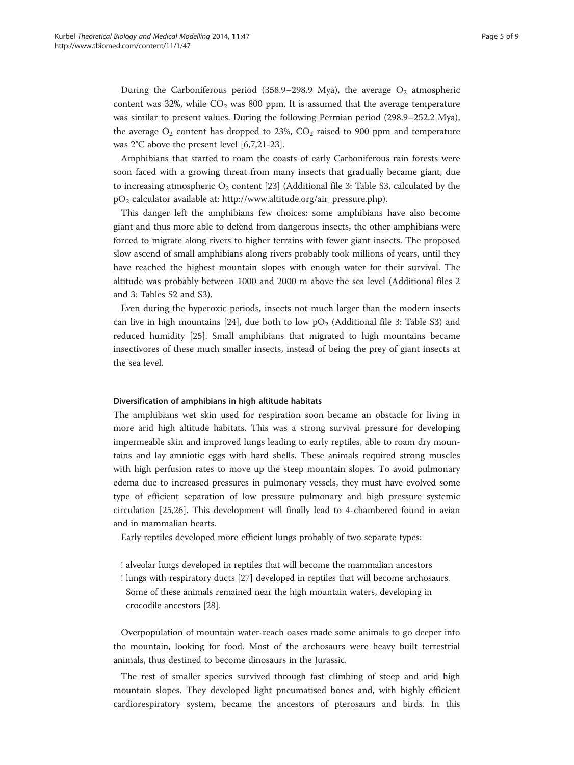During the Carboniferous period (358.9–298.9 Mya), the average  $O_2$  atmospheric content was 32%, while  $CO<sub>2</sub>$  was 800 ppm. It is assumed that the average temperature was similar to present values. During the following Permian period (298.9–252.2 Mya), the average  $O_2$  content has dropped to 23%,  $CO_2$  raised to 900 ppm and temperature was 2°C above the present level [[6,7,](#page-7-0)[21-23](#page-8-0)].

Amphibians that started to roam the coasts of early Carboniferous rain forests were soon faced with a growing threat from many insects that gradually became giant, due to increasing atmospheric  $O_2$  content [[23\]](#page-8-0) (Additional file [3](#page-7-0): Table S3, calculated by the pO2 calculator available at: [http://www.altitude.org/air\\_pressure.php](http://www.altitude.org/air_pressure.php)).

This danger left the amphibians few choices: some amphibians have also become giant and thus more able to defend from dangerous insects, the other amphibians were forced to migrate along rivers to higher terrains with fewer giant insects. The proposed slow ascend of small amphibians along rivers probably took millions of years, until they have reached the highest mountain slopes with enough water for their survival. The altitude was probably between 1000 and 2000 m above the sea level (Additional files [2](#page-7-0) and [3:](#page-7-0) Tables S2 and S3).

Even during the hyperoxic periods, insects not much larger than the modern insects can live in high mountains [[24](#page-8-0)], due both to low  $pO_2$  (Additional file [3:](#page-7-0) Table S3) and reduced humidity [\[25\]](#page-8-0). Small amphibians that migrated to high mountains became insectivores of these much smaller insects, instead of being the prey of giant insects at the sea level.

# Diversification of amphibians in high altitude habitats

The amphibians wet skin used for respiration soon became an obstacle for living in more arid high altitude habitats. This was a strong survival pressure for developing impermeable skin and improved lungs leading to early reptiles, able to roam dry mountains and lay amniotic eggs with hard shells. These animals required strong muscles with high perfusion rates to move up the steep mountain slopes. To avoid pulmonary edema due to increased pressures in pulmonary vessels, they must have evolved some type of efficient separation of low pressure pulmonary and high pressure systemic circulation [\[25,26](#page-8-0)]. This development will finally lead to 4-chambered found in avian and in mammalian hearts.

Early reptiles developed more efficient lungs probably of two separate types:

- ! alveolar lungs developed in reptiles that will become the mammalian ancestors
- ! lungs with respiratory ducts [[27](#page-8-0)] developed in reptiles that will become archosaurs. Some of these animals remained near the high mountain waters, developing in crocodile ancestors [\[28\]](#page-8-0).

Overpopulation of mountain water-reach oases made some animals to go deeper into the mountain, looking for food. Most of the archosaurs were heavy built terrestrial animals, thus destined to become dinosaurs in the Jurassic.

The rest of smaller species survived through fast climbing of steep and arid high mountain slopes. They developed light pneumatised bones and, with highly efficient cardiorespiratory system, became the ancestors of pterosaurs and birds. In this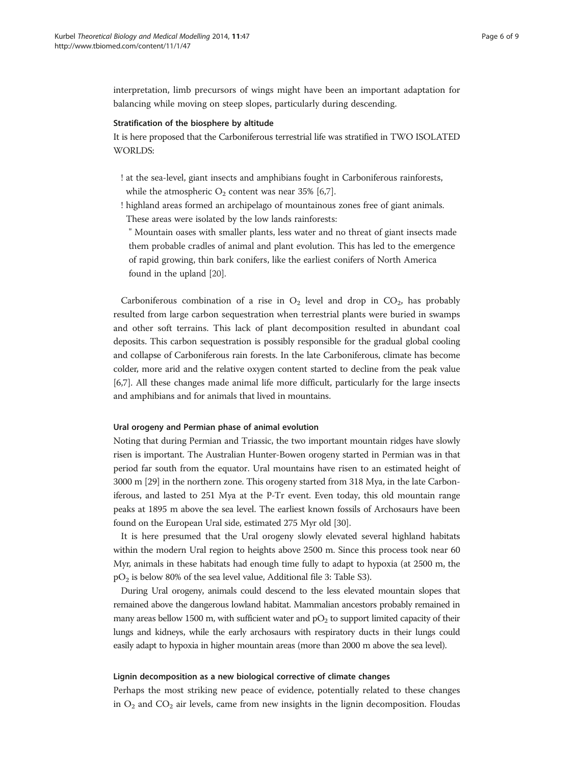interpretation, limb precursors of wings might have been an important adaptation for balancing while moving on steep slopes, particularly during descending.

#### Stratification of the biosphere by altitude

It is here proposed that the Carboniferous terrestrial life was stratified in TWO ISOLATED WORLDS:

- ! at the sea-level, giant insects and amphibians fought in Carboniferous rainforests, while the atmospheric  $O_2$  content was near 35% [[6](#page-7-0),[7](#page-7-0)].
- ! highland areas formed an archipelago of mountainous zones free of giant animals. These areas were isolated by the low lands rainforests:

" Mountain oases with smaller plants, less water and no threat of giant insects made them probable cradles of animal and plant evolution. This has led to the emergence of rapid growing, thin bark conifers, like the earliest conifers of North America found in the upland [\[20\]](#page-8-0).

Carboniferous combination of a rise in  $O_2$  level and drop in  $CO_2$ , has probably resulted from large carbon sequestration when terrestrial plants were buried in swamps and other soft terrains. This lack of plant decomposition resulted in abundant coal deposits. This carbon sequestration is possibly responsible for the gradual global cooling and collapse of Carboniferous rain forests. In the late Carboniferous, climate has become colder, more arid and the relative oxygen content started to decline from the peak value [[6,7](#page-7-0)]. All these changes made animal life more difficult, particularly for the large insects and amphibians and for animals that lived in mountains.

# Ural orogeny and Permian phase of animal evolution

Noting that during Permian and Triassic, the two important mountain ridges have slowly risen is important. The Australian Hunter-Bowen orogeny started in Permian was in that period far south from the equator. Ural mountains have risen to an estimated height of 3000 m [\[29\]](#page-8-0) in the northern zone. This orogeny started from 318 Mya, in the late Carboniferous, and lasted to 251 Mya at the P-Tr event. Even today, this old mountain range peaks at 1895 m above the sea level. The earliest known fossils of Archosaurs have been found on the European Ural side, estimated 275 Myr old [\[30](#page-8-0)].

It is here presumed that the Ural orogeny slowly elevated several highland habitats within the modern Ural region to heights above 2500 m. Since this process took near 60 Myr, animals in these habitats had enough time fully to adapt to hypoxia (at 2500 m, the  $pO<sub>2</sub>$  is below 80% of the sea level value, Additional file [3:](#page-7-0) Table S3).

During Ural orogeny, animals could descend to the less elevated mountain slopes that remained above the dangerous lowland habitat. Mammalian ancestors probably remained in many areas bellow 1500 m, with sufficient water and  $pO<sub>2</sub>$  to support limited capacity of their lungs and kidneys, while the early archosaurs with respiratory ducts in their lungs could easily adapt to hypoxia in higher mountain areas (more than 2000 m above the sea level).

# Lignin decomposition as a new biological corrective of climate changes

Perhaps the most striking new peace of evidence, potentially related to these changes in  $O_2$  and  $CO_2$  air levels, came from new insights in the lignin decomposition. Floudas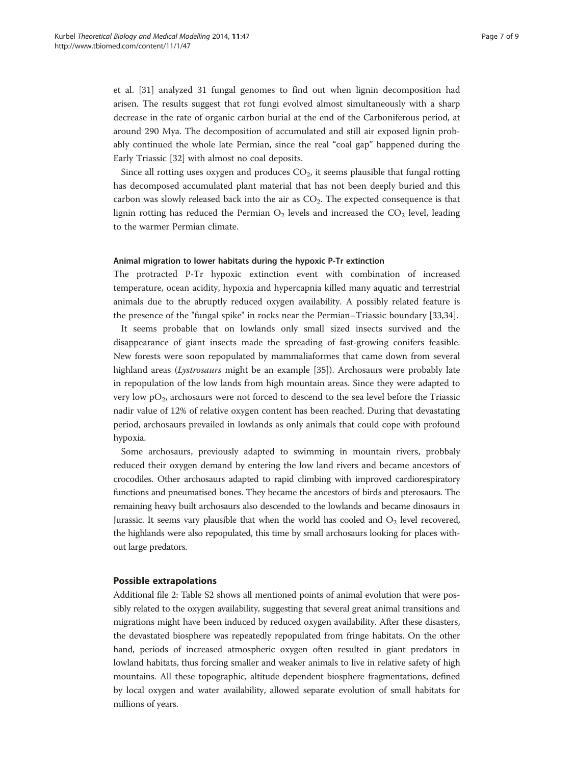et al. [\[31\]](#page-8-0) analyzed 31 fungal genomes to find out when lignin decomposition had arisen. The results suggest that rot fungi evolved almost simultaneously with a sharp decrease in the rate of organic carbon burial at the end of the Carboniferous period, at around 290 Mya. The decomposition of accumulated and still air exposed lignin probably continued the whole late Permian, since the real "coal gap" happened during the Early Triassic [\[32\]](#page-8-0) with almost no coal deposits.

Since all rotting uses oxygen and produces  $CO<sub>2</sub>$ , it seems plausible that fungal rotting has decomposed accumulated plant material that has not been deeply buried and this carbon was slowly released back into the air as  $CO<sub>2</sub>$ . The expected consequence is that lignin rotting has reduced the Permian  $O_2$  levels and increased the  $CO_2$  level, leading to the warmer Permian climate.

# Animal migration to lower habitats during the hypoxic P-Tr extinction

The protracted P-Tr hypoxic extinction event with combination of increased temperature, ocean acidity, hypoxia and hypercapnia killed many aquatic and terrestrial animals due to the abruptly reduced oxygen availability. A possibly related feature is the presence of the "fungal spike" in rocks near the Permian–Triassic boundary [[33,34\]](#page-8-0).

It seems probable that on lowlands only small sized insects survived and the disappearance of giant insects made the spreading of fast-growing conifers feasible. New forests were soon repopulated by mammaliaformes that came down from several highland areas (Lystrosaurs might be an example [[35](#page-8-0)]). Archosaurs were probably late in repopulation of the low lands from high mountain areas. Since they were adapted to very low  $pO<sub>2</sub>$ , archosaurs were not forced to descend to the sea level before the Triassic nadir value of 12% of relative oxygen content has been reached. During that devastating period, archosaurs prevailed in lowlands as only animals that could cope with profound hypoxia.

Some archosaurs, previously adapted to swimming in mountain rivers, probbaly reduced their oxygen demand by entering the low land rivers and became ancestors of crocodiles. Other archosaurs adapted to rapid climbing with improved cardiorespiratory functions and pneumatised bones. They became the ancestors of birds and pterosaurs. The remaining heavy built archosaurs also descended to the lowlands and became dinosaurs in Jurassic. It seems vary plausible that when the world has cooled and  $O<sub>2</sub>$  level recovered, the highlands were also repopulated, this time by small archosaurs looking for places without large predators.

# Possible extrapolations

Additional file [2:](#page-7-0) Table S2 shows all mentioned points of animal evolution that were possibly related to the oxygen availability, suggesting that several great animal transitions and migrations might have been induced by reduced oxygen availability. After these disasters, the devastated biosphere was repeatedly repopulated from fringe habitats. On the other hand, periods of increased atmospheric oxygen often resulted in giant predators in lowland habitats, thus forcing smaller and weaker animals to live in relative safety of high mountains. All these topographic, altitude dependent biosphere fragmentations, defined by local oxygen and water availability, allowed separate evolution of small habitats for millions of years.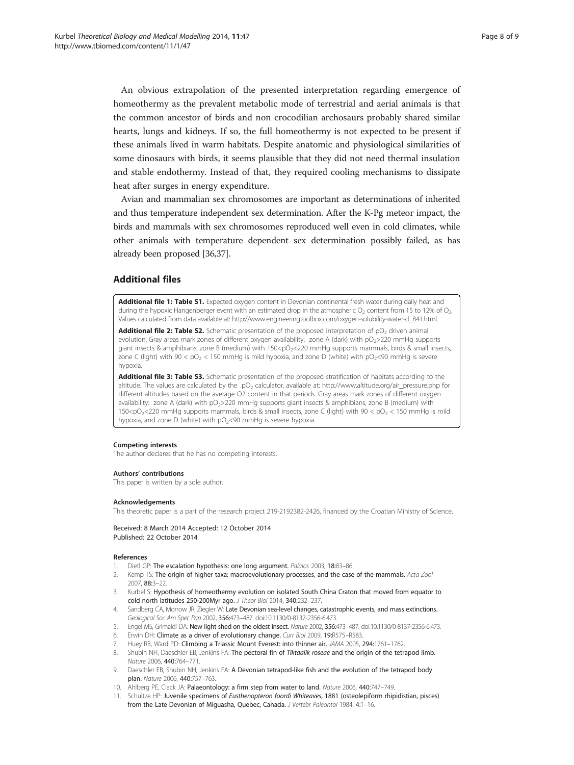<span id="page-7-0"></span>An obvious extrapolation of the presented interpretation regarding emergence of homeothermy as the prevalent metabolic mode of terrestrial and aerial animals is that the common ancestor of birds and non crocodilian archosaurs probably shared similar hearts, lungs and kidneys. If so, the full homeothermy is not expected to be present if these animals lived in warm habitats. Despite anatomic and physiological similarities of some dinosaurs with birds, it seems plausible that they did not need thermal insulation and stable endothermy. Instead of that, they required cooling mechanisms to dissipate heat after surges in energy expenditure.

Avian and mammalian sex chromosomes are important as determinations of inherited and thus temperature independent sex determination. After the K-Pg meteor impact, the birds and mammals with sex chromosomes reproduced well even in cold climates, while other animals with temperature dependent sex determination possibly failed, as has already been proposed [\[36,37](#page-8-0)].

# Additional files

[Additional file 1: Table S1.](http://www.biomedcentral.com/content/supplementary/1742-4682-11-47-S1.pdf) Expected oxygen content in Devonian continental fresh water during daily heat and during the hypoxic Hangenberger event with an estimated drop in the atmospheric  $O_2$  content from 15 to 12% of  $O_2$ . Values calculated from data available at: [http://www.engineeringtoolbox.com/oxygen-solubility-water-d\\_841.html.](http://www.engineeringtoolbox.com/oxygen-solubility-water-d_841.html)

[Additional file 2: Table S2.](http://www.biomedcentral.com/content/supplementary/1742-4682-11-47-S2.pdf) Schematic presentation of the proposed interpretation of  $pO<sub>2</sub>$  driven animal evolution. Gray areas mark zones of different oxygen availability: zone A (dark) with pO<sub>2</sub>>220 mmHg supports giant insects & amphibians, zone B (medium) with 150<pO<sub>2</sub><220 mmHg supports mammals, birds & small insects, zone C (light) with 90 <  $pO_2$  < 150 mmHg is mild hypoxia, and zone D (white) with pO<sub>2</sub><90 mmHg is severe hypoxia.

[Additional file 3: Table S3.](http://www.biomedcentral.com/content/supplementary/1742-4682-11-47-S3.pdf) Schematic presentation of the proposed stratification of habitats according to the altitude. The values are calculated by the  $pO_2$  calculator, available at: [http://www.altitude.org/air\\_pressure.php](http://www.altitude.org/air_pressure.php) for different altitudes based on the average O2 content in that periods. Gray areas mark zones of different oxygen availability: zone A (dark) with pO<sub>2</sub>>220 mmHg supports giant insects & amphibians, zone B (medium) with 150 $<$ pO<sub>2</sub><220 mmHg supports mammals, birds & small insects, zone C (light) with 90 < pO<sub>2</sub> < 150 mmHg is mild hypoxia, and zone D (white) with  $pO<sub>2</sub>< 90$  mmHg is severe hypoxia.

#### Competing interests

The author declares that he has no competing interests.

#### Authors' contributions

This paper is written by a sole author.

#### Acknowledgements

This theoretic paper is a part of the research project 219-2192382-2426, financed by the Croatian Ministry of Science.

Received: 8 March 2014 Accepted: 12 October 2014 Published: 22 October 2014

#### References

- Dietl GP: The escalation hypothesis: one long argument. Palaios 2003, 18:83-86.
- 2. Kemp TS: The origin of higher taxa: macroevolutionary processes, and the case of the mammals. Acta Zool 2007, 88:3–22.
- 3. Kurbel S: Hypothesis of homeothermy evolution on isolated South China Craton that moved from equator to cold north latitudes 250-200Myr ago. J Theor Biol 2014, 340:232–237.
- Sandberg CA, Morrow JR, Ziegler W: Late Devonian sea-level changes, catastrophic events, and mass extinctions. Geological Soc Am Spec Pap 2002, 356:473–487. doi:10.1130/0-8137-2356-6.473.
- Engel MS, Grimaldi DA: New light shed on the oldest insect. Nature 2002, 356:473-487. doi:10.1130/0-8137-2356-6.473.
- 6. Erwin DH: Climate as a driver of evolutionary change. Curr Biol 2009, 19:R575–R583.
- 7. Huey RB, Ward PD: Climbing a Triassic Mount Everest: into thinner air. JAMA 2005, 294:1761-1762.
- 8. Shubin NH, Daeschler EB, Jenkins FA: The pectoral fin of Tiktaalik roseae and the origin of the tetrapod limb. Nature 2006, 440:764-771.
- 9. Daeschler EB, Shubin NH, Jenkins FA: A Devonian tetrapod-like fish and the evolution of the tetrapod body plan. Nature 2006, 440:757–763.
- 10. Ahlberg PE, Clack JA: Palaeontology: a firm step from water to land. Nature 2006, 440:747-749.
- 11. Schultze HP: Juvenile specimens of Eusthenopteron foordi Whiteaves, 1881 (osteolepiform rhipidistian, pisces) from the Late Devonian of Miguasha, Quebec, Canada. J Vertebr Paleontol 1984, 4:1-16.